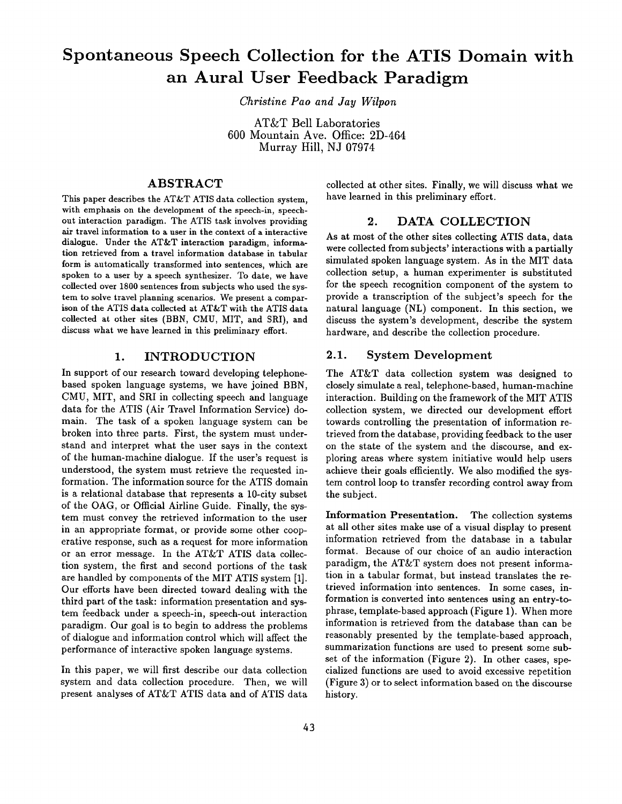# **Spontaneous Speech Collection for the ATIS Domain with an Aural User Feedback Paradigm**

*Christine Pao and Jay Wilpon* 

AT&T Bell Laboratories 600 Mountain Ave. Office: 2D-464 Murray Hill, NJ 07974

## ABSTRACT

This paper describes the AT&T ATIS data collection system, with emphasis on the development of the speech-in, speechout interaction paradigm. The ATIS task involves providing air travel information to a user in **the context** of a interactive dialogue. Under the AT&T interaction paradigm, information retrieved from a travel information database in tabular form is automatically transformed into sentences, which are spoken to a user by a speech synthesizer. To date, we have collected over 1800 sentences from subjects who used the system to solve travel planning scenarios. We present a comparison of the ATIS data collected at AT&T with the ATIS data collected at other sites (BBN, CMU, MIT, and SRI), and discuss what we have learned in this preliminary effort.

#### 1. INTRODUCTION

In support of our research toward developing telephonebased spoken language systems, we have joined BBN, CMU, MIT, and SRI in collecting speech and language data for the ATIS (Air Travel Information Service) domain. The task of a spoken language system can be broken into three parts. First, the system must understand and interpret what the user says in the context of the human-machine dialogue. If the user's request is understood, the system must retrieve the requested information. The information source for the ATIS domain is a relational database that represents a 10-city subset of the OAG, or Official Airline Guide. Finally, the system must convey the retrieved information to the user in an appropriate format, or provide some other cooperative response, such as a request for more information or an error message. In the AT&T ATIS data collection system, the first and second portions of the task are handled by components of the MIT ATIS system [1]. Our efforts have been directed toward dealing with the third part of the task: information presentation and system feedback under a speech-in, speech-out interaction paradigm. Our goal is to begin to address the problems of dialogue and information control which will affect the performance of interactive spoken language systems.

In this paper, we will first describe our data collection system and data collection procedure. Then, we will present analyses of AT&T ATIS data and of ATIS data collected at other sites. Finally, we will discuss what we have learned in this preliminary effort.

#### 2. DATA COLLECTION

As at most of the other sites collecting ATIS data, data were collected from subjects' interactions with a partially simulated spoken language system. As in the MIT data collection setup, a human experimenter is substituted for the speech recognition component of the system to provide a transcription of the subject's speech for the natural language (NL) component. In this section, we discuss the system's development, describe the system hardware, and describe the collection procedure.

### 2.1. System Development

The AT&T data collection system was designed to closely simulate a real, telephone-based, human-machine interaction. Building on the framework of the MIT ATIS collection system, we directed our development effort towards controlling the presentation of information retrieved from the database, providing feedback to the user on the state of the system and the discourse, and exploring areas where system initiative would help users achieve their goals efficiently. We also modified the system control loop to transfer recording control away from the subject.

Information Presentation. The collection systems at all other sites make use of a visual display to present information retrieved from the database in a tabular format. Because of our choice of an audio interaction paradigm, the AT&T system does not present information in a tabular format, but instead translates the retrieved information into sentences. In some cases, information is converted into sentences using an entry-tophrase, template-based approach (Figure 1). When more information is retrieved from the database than can be reasonably presented by the template-based approach, summarization functions are used to present some subset of the information (Figure 2). In other cases, specialized functions are used to avoid excessive repetition (Figure 3) or to select information based on the discourse history.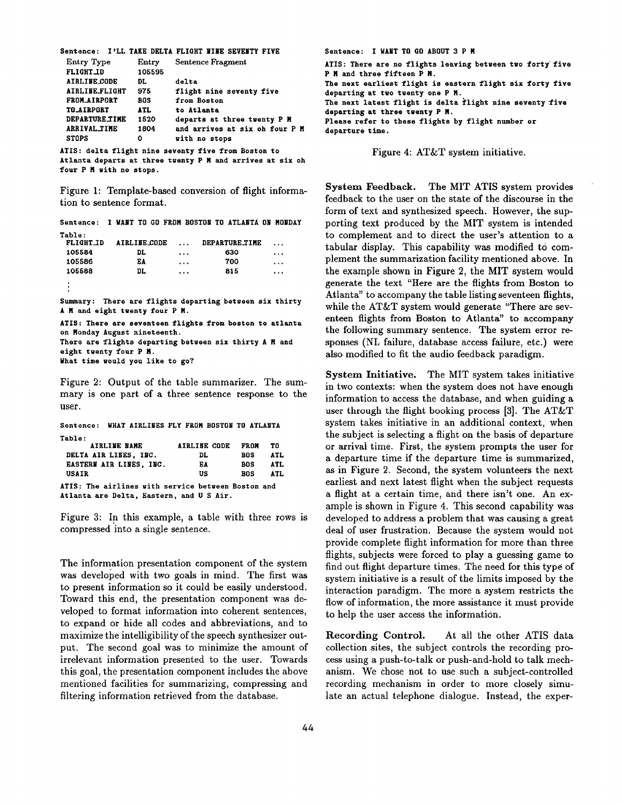| Sentence: I'LL TAKE DELTA FLIGHT NINE SEVENTY FIVE |      |        |                             |  |                                |  |
|----------------------------------------------------|------|--------|-----------------------------|--|--------------------------------|--|
| <b>Entry Type</b>                                  |      | Entry  | Sentence Fragment           |  |                                |  |
| <b>FLIGHT_ID</b>                                   |      | 105595 |                             |  |                                |  |
| <b>AIRLINE CODE</b>                                | DL.  |        | delta                       |  |                                |  |
| <b>AIRLINE FLIGHT</b>                              | 975  |        | flight nine seventy five    |  |                                |  |
| <b>FROM AIRPORT</b>                                | BOS. |        | from Boston                 |  |                                |  |
| <b>TO_AIRPORT</b>                                  | ATL. |        | to Atlanta                  |  |                                |  |
| <b>DEPARTURE TIME</b>                              | 1520 |        | departs at three twenty P M |  |                                |  |
| <b>ARRIVAL TIME</b>                                | 1804 |        |                             |  | and arrives at six oh four P M |  |
| <b>STOPS</b>                                       | ٥    |        | with no stops               |  |                                |  |

ATIS: delta flight nine seventy five from Boston to Atlanta departs at **three tgenty** P N and arrives at six **oh**  four P M with no stops.

Figure 1: Template-based conversion of flight information to sentence format.

**Sentence:**  I MANT TO GO FROM BOSTON TO ATLANTA ON MONDAY Table:

| <b>FLIGHT ID</b> | AIRLINE CODE | $\cdots$ | <b>DEPARTURE TIME</b> | $\cdots$ |
|------------------|--------------|----------|-----------------------|----------|
| 105584           | DL           | $\cdots$ | 630                   | $\cdots$ |
| 105586           | EA           | $\cdots$ | 700                   | $\cdots$ |
| 105588           | DL.          | $\cdots$ | 815                   | $\cdots$ |
| ٠                |              |          |                       |          |

**Summary: There are** flights departing **between six** thirty A M and eight twenty four P M.

```
ATIS: There are seventeen flights from boston to atlanta 
on Monday August nineteenth. 
There are flights departing betgeen six thirty A N and 
eight twenty four P M.
What time gould you like to go7
```
Figure 2: Output of the table summarizer. The summary is one part of a three sentence response to the user.

| Sentence: WHAT AIRLINES FLY FROM BOSTON TO ATLANTA |              |  |              |             |            |
|----------------------------------------------------|--------------|--|--------------|-------------|------------|
| Table:                                             |              |  |              |             |            |
|                                                    | AIRLINE NAME |  | AIRLINE CODE | <b>FROM</b> | T0         |
| DELTA AIR LINES, INC.                              |              |  | DL.          | <b>BOS</b>  | <b>ATL</b> |
| EASTERN AIR LINES, INC.                            |              |  | ЕA           | BOS         | <b>ATL</b> |
| USAIR                                              |              |  | US           | BOS         | ATL.       |
| ATIS: The airlines with service between Boston and |              |  |              |             |            |
| Atlanta are Delta, Eastern, and U S Air.           |              |  |              |             |            |

Figure 3: In this example, a table with three rows is compressed into a single sentence.

The information presentation component of the system was developed with two goals in mind. The first was to present information so it could be easily understood. Toward this end, the presentation component was developed to format information into coherent sentences, to expand or hide all codes and abbreviations, and to maximize the intelligibility of the speech synthesizer output. The second goal was to minimize the amount of irrelevant information presented to the user. Towards this goal, the presentation component includes the above mentioned facilities for summarizing, compressing and filtering information retrieved from the database.

**Sentence:** I WANT TO 60 ABOUT 3 P M ATIS: **There are** no flights leaving **beteeen teo** forty five P N **and three** fifteen P N. **The** next earliest flight is eastern flight six forty five departing at **tgo tgenty one** P M. **The** next latest flight is delta flight nine seventy five **departing at three tgenty** P M. **Please** refer to these flights by flight number or **departure time.** 

Figure 4: AT&T system initiative.

System Feedback. The MIT ATIS system provides feedback to the user on the state of the discourse in the form of text and synthesized speech. However, the supporting text produced by the MIT system is intended to complement and to direct the user's attention to a tabular display. This capability was modified to complement the summarization facility mentioned above. In the example shown in Figure 2, the MIT system would generate the text "Here are the flights from Boston to Atlanta" to accompany the table listing seventeen flights, while the AT&T system would generate "There are seventeen flights from Boston to Atlanta" to accompany the following summary sentence. The system error responses (NL failure, database access failure, etc.) were also modified to fit the audio feedback paradigm.

System Initiative. The MIT system takes initiative in two contexts: when the system does not have enough information to access the database, and when guiding a user through the flight booking process [3]. The AT&T system takes initiative in an additional context, when the subject is selecting a flight on the basis of departure or arrival time. First, the system prompts the user for a departure time if the departure time is summarized, as in Figure 2. Second, the system volunteers the next earliest and next latest flight when the subject requests a flight at a certain time, and there isn't one. An example is shown in Figure 4. This second capability was developed to address a problem that was causing a great deal of user frustration. Because the system would not provide complete flight information for more than three flights, subjects were forced to play a guessing game to find out flight departure times. The need for this type of system initiative is a result of the limits imposed by the interaction paradigm. The more a system restricts the flow of information, the more assistance it must provide to help the user access the information.

Recording Control. At all the other ATIS data collection sites, the subject controls the recording process using a push-to-talk or push-and-hold to talk mechanism. We chose not to use such a subject-controlled recording mechanism in order to more closely simulate an actual telephone dialogue. Instead, the exper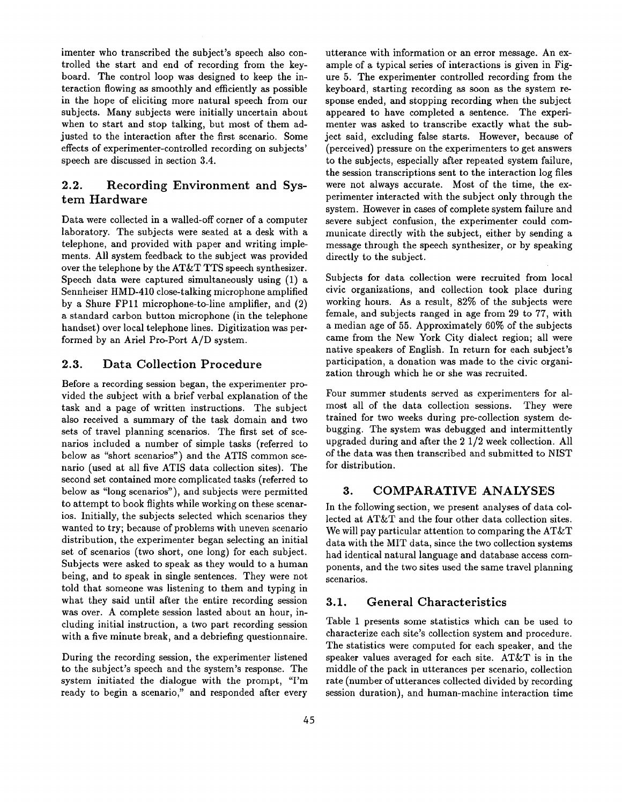imenter who transcribed the subject's speech also controlled the start and end of recording from the keyboard. The control loop was designed to keep the interaction flowing as smoothly and efficiently as possible in the hope of eliciting more natural speech from our subjects. Many subjects were initially uncertain about when to start and stop talking, but most of them adjusted to the interaction after the first scenario. Some effects of experimenter-controlled recording on subjects' speech are discussed in section 3.4.

## 2.2. Recording Environment and System Hardware

Data were collected in a walled-off corner of a computer laboratory. The subjects were seated at a desk with a telephone, and provided with paper and writing implements. All system feedback to the subject was provided over the telephone by the AT&T TTS speech synthesizer. Speech data were captured simultaneously using (1) a Sennheiser HMD-410 close-talking microphone amplified by a Shure FPll microphone-to-line amplifier, and (2) a standard carbon button microphone (in the telephone handset) over local telephone lines. Digitization was performed by an Ariel Pro-Port A/D system.

## 2.3. Data Collection Procedure

Before a recording session began, the experimenter provided the subject with a brief verbal explanation of the task and a page of written instructions. The subject also received a summary of the task domain and two sets of travel planning scenarios. The first set of scenarios included a number of simple tasks (referred to below as "short scenarios") and the ATIS common scenario (used at all five ATIS data collection sites). The second set contained more complicated tasks (referred to below as "long scenarios"), and subjects were permitted to attempt to book flights while working on these scenarios. Initially, the subjects selected which scenarios they wanted to try; because of problems with uneven scenario distribution, the experimenter began selecting an initial set of scenarios (two short, one long) for each subject. Subjects were asked to speak as they would to a human being, and to speak in single sentences. They were not told that someone was listening to them and typing in what they said until after the entire recording session was over. A complete session lasted about an hour, including initial instruction, a two part recording session with a five minute break, and a debriefing questionnaire.

During the recording session, the experimenter listened to the subject's speech and the system's response. The system initiated the dialogue with the prompt, *"I'm*  ready to begin a scenario," and responded after every

utterance with information or an error message. An example of a typical series of interactions is given in Figure 5. The experimenter controlled recording from the keyboard, starting recording as soon as the system response ended, and stopping recording when the subject appeared to have completed a sentence. The experimenter was asked to transcribe exactly what the subject said, excluding false starts. However, because of (perceived) pressure on the experimenters to get answers to the subjects, especially after repeated system failure, the session transcriptions sent to the interaction log files were not always accurate. Most of the time, the experimenter interacted with the subject only through the system. However in cases of complete system failure and severe subject confusion, the experimenter could communicate directly with the subject, either by sending a message through the speech synthesizer, or by speaking directly to the subject.

Subjects for data collection were recruited from local civic organizations, and collection took place during working hours. As a result, 82% of the subjects were female, and subjects ranged in age from 29 to 77, with a median age of 55. Approximately 60% of the subjects came from the New York City dialect region; all were native speakers of English. In return for each subject's participation, a donation was made to the civic organization through which he or she was recruited.

Four summer students served as experimenters for almost all of the data collection sessions. They were trained for two weeks during pre-collection system debugging. The system was debugged and intermittently upgraded during and after the 2 1/2 week collection. All of the data was then transcribed and submitted to NIST for distribution.

#### 3. COMPARATIVE ANALYSES

In the following section, we present analyses of data collected at AT&T and the four other data collection sites. We will pay particular attention to comparing the AT&T data with the MIT data, since the two collection systems had identical natural language and database access components, and the two sites used the same travel planning scenarios.

## 3.1. General Characteristics

Table 1 presents some statistics which can be used to characterize each site's collection system and procedure. The statistics were computed for each speaker, and the speaker values averaged for each site. AT&T is in the middle of the pack in utterances per scenario, collection rate (number of utterances collected divided by recording session duration), and human-machine interaction time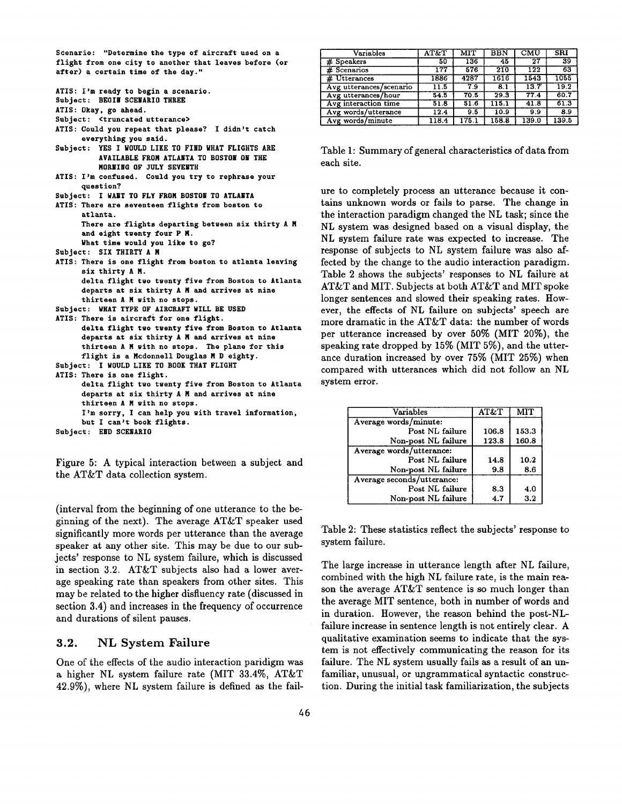Scenario: "Determine the type of aircraft used on a flight from one city to another that **leaves before** (or after) a certain time of the day."

| ATIS: I'm ready to begin a scenario.                     |
|----------------------------------------------------------|
| Subject: BEGIN SCENARIO THREE                            |
| ATIS: Okay, go ahead.                                    |
| Subject: <truncated utterance=""></truncated>            |
| ATIS: Could you repeat that please? I didn't catch       |
| everything you said.                                     |
| YES I WOULD LIKE TO FIND WHAT FLIGHTS ARE<br>Subject:    |
| AVAILABLE FROM ATLANTA TO BOSTON ON THE                  |
| MORNING OF JULY SEVENTH                                  |
| ATIS: I'm confused. Could you try to rephrase your       |
| question?                                                |
| Subject: I WANT TO FLY FROM BOSTON TO ATLANTA            |
| ATIS: There are seventeen flights from boston to         |
| atlanta.                                                 |
| There are flights departing between six thirty A M       |
| and eight twenty four P M.                               |
| What time would you like to go?                          |
| Subject: SIX THIRTY A M                                  |
| ATIS: There is one flight from boston to atlanta leaving |
| six thirty A M.                                          |
| delta flight two twenty five from Boston to Atlanta      |
| departs at six thirty A M and arrives at nine            |
| thirteen A M with no stops.                              |
| Subject: WHAT TYPE OF AIRCRAFT WILL BE USED              |
| ATIS: There is aircraft for one flight.                  |
| delta flight two twenty five from Boston to Atlanta      |
| departs at six thirty A M and arrives at nine            |
| thirteen A M with no stops. The plane for this           |
| flight is a Mcdonnell Douglas M D eighty.                |
| Subject: I WOULD LIKE TO BOOK THAT FLIGHT                |
| ATIS: There is one flight.                               |
| delta flight two twenty five from Boston to Atlanta      |
| departs at six thirty A M and arrives at nine            |
| thirteen A M with no stops.                              |
| I'm sorry, I can help you with travel information,       |
| but I can't book flights.                                |

**Subject:** END SCENARIO

Figure 5: A typical interaction between a subject and the AT&T data collection system.

(interval from the beginning of one utterance to the beginning of the next). The average AT&T speaker used significantly more words per utterance than the average speaker at any other site. This may be due to our subjects' response to NL system failure, which is discussed in section 3.2. AT&T subjects also had a lower average speaking rate than speakers from other sites. This may be related to the higher disfluency rate (discussed in section 3.4) and increases in the frequency of occurrence and durations of silent pauses.

## **3.2.** NL System Failure

One of the effects of the audio interaction paridigm was a higher NL system failure rate (MIT 33.4%, AT&T 42.9%), where NL system failure is defined as the fail-

| Variables               | AT&T  | MIT  | <b>BBN</b> | CMU   | <b>SRI</b> |
|-------------------------|-------|------|------------|-------|------------|
| # Speakers              | 50    | 136  | 45         | 27    | 39         |
| # Scenarios             | 177   | 576  | 210        | 122   | 63         |
| # Utterances            | 1886  | 4287 | 1616       | 1543  | 1055       |
| Avg utterances/scenario | 11.5  | 7.9  | 8.1        | 13.7  | 19.2       |
| Avg utterances/hour     | 54.5  | 70.5 | 29.3       | 77.4  | 60.7       |
| Avg interaction time    | 51.8  | 51.6 | 115.1      |       | 61.3       |
| Avg words/utterance     | 12.4  | 9.5  | 10.9       | 9.9   | 8.9        |
| Avg words/minute        | 118.4 | 175. | 158.8      | 139.0 | 139.5      |

Table 1: Summary of general characteristics of data from each site.

ure to completely process an utterance because it contains unknown words or fails to parse. The change in the interaction paradigm changed the NL task; since the NL system was designed based on a visual display, the NL system failure rate was expected to increase. The response of subjects to NL system failure was also affected by the change to the audio interaction paradigm. Table 2 shows the subjects' responses to NL failure at AT&T and MIT. Subjects at both AT&T and MIT spoke longer sentences and slowed their speaking rates. However, the effects of NL failure on subjects' speech are more dramatic in the AT&T data: the number of words per utterance increased by over 50% (MIT 20%), the speaking rate dropped by 15% (MIT 5%), and the utterance duration increased by over 75% (MIT 25%) when compared with utterances which did not follow an NL system error.

| Variables                  | AT&T  |         |
|----------------------------|-------|---------|
| Average words/minute:      |       |         |
| Post NL failure            | 106.8 | 153.3   |
| Non-post NL failure        | 123.8 | 160.8   |
| Average words/utterance:   |       |         |
| Post NL failure            | 14.8  | 10.2    |
| Non-post NL failure        | 9.8   | 8.6     |
| Average seconds/utterance: |       |         |
| Post NL failure            | 83    | 4.0     |
| Non-post NL failure        | 4.7   | $3.2\,$ |

Table 2: These statistics reflect the subjects' response to system failure.

The large increase in utterance length after NL failure, combined with the high NL failure rate, is the main reason the average AT&T sentence is so much longer than the average MIT sentence, both in number of words and in duration. However, the reason behind the post-NLfailure increase in sentence length is not entirely clear. A qualitative examination seems to indicate that the system is not effectively communicating the reason for its failure. The NL system usually fails as a result of an unfamiliar, unusual, or ungrammatical syntactic construction. During the initial task familiarization, the subjects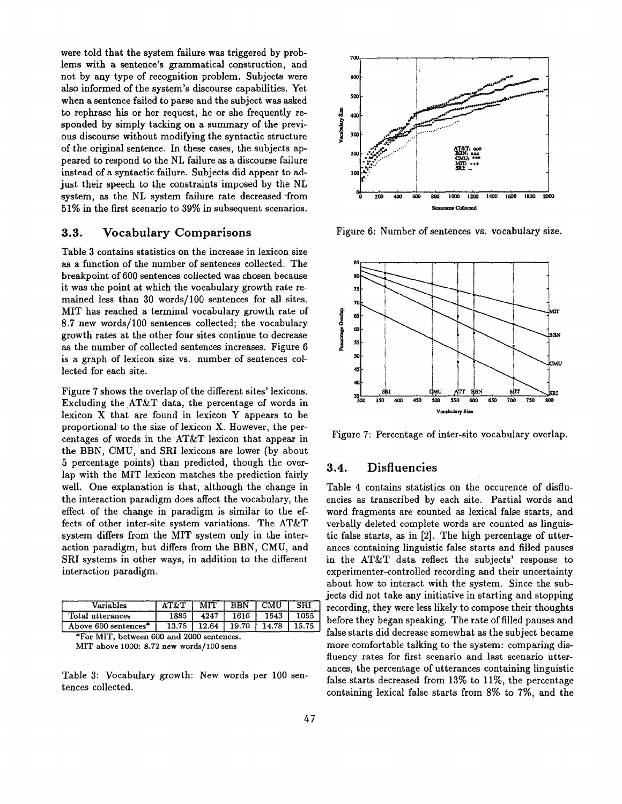were told that the system failure was triggered by problems with a sentence's grammatical construction, and not by any type of recognition problem. Subjects were also informed of the system's discourse capabilities. Yet when a sentence failed to parse and the subject was asked to rephrase his or her request, he or she frequently responded by simply tacking on a summary of the previous discourse without modifying the syntactic structure of the original sentence. In these cases, the subjects appeared to respond to the NL failure as a discourse failure instead of a syntactic failure. Subjects did appear to adjust their speech to the constraints imposed by the NL system, as the NL system failure rate decreased from 51% in the first scenario to 39% in subsequent scenarios.

### **3.3.** Vocabulary Comparisons

Table 3 contains statistics on the increase in lexicon size as a function of the number of sentences collected. The breakpoint of 600 sentences collected was chosen because it was the point at which the vocabulary growth rate remained less than 30 words/100 sentences for all sites. MIT has reached a terminal vocabulary growth rate of 8.7 new words/100 sentences collected; the vocabulary growth rates at the other four sites continue to decrease as the number of collected sentences increases. Figure 6 is a graph of lexicon size vs. number of sentences collected for each site.

Figure 7 shows the overlap of the different sites' lexicons. Excluding the AT&T data, the percentage of words in lexicon X that are found in lexicon Y appears to be proportional to the size of lexicon X. However, the percentages of words in the AT&T lexicon that appear in the BBN, CMU, and SRI lexicons are lower (by about 5 percentage points) than predicted, though the overlap with the MIT lexicon matches the prediction fairly well. One explanation is that, although the change in the interaction paradigm does affect the vocabulary, the effect of the change in paradigm is similar to the effects of other inter-site system variations. The AT&T system differs from the MIT system only in the interaction paradigm, but differs from the BBN, CMU, and SRI systems in other ways, in addition to the different interaction paradigm.

| /ariables            |      | <b>MIT</b> | <b>BRN</b> | CMU  | SR. |
|----------------------|------|------------|------------|------|-----|
| Total utterances     | 1885 | 4247       | 1616       | 1543 |     |
| Above 600 sentences* | 13.7 | 12.64      | 19.70      |      |     |

\*For MIT, between 600 and 2000 sentences. MIT above 1000:  $8.72$  new words/100 sens

Table 3: Vocabulary growth: New words per 100 sentences collected.



Figure 6: Number of sentences vs. vocabulary size.



Figure 7: Percentage of inter-site vocabulary overlap.

## **3.4.** Disfluencies

Table 4 contains statistics on the occurence of disfluencies as transcribed by each site. Partial words and word fragments are counted as lexical false starts, and verbally deleted complete words are counted as linguistic false starts, as in [2]. The high percentage of utterances containing linguistic false starts and filled pauses in the AT&T data reflect the subjects' response to experimenter-controlled recording and their uncertainty about how to interact with the system. Since the subjects did not take any initiative in starting and stopping recording, they were less likely to compose their thoughts before they began speaking. The rate of filled pauses and false starts did decrease somewhat as the subject became more comfortable talking to the system: comparing disfluency rates for first scenario and last scenario utterances, the percentage of utterances containing linguistic false starts decreased from 13% to 11%, the percentage containing lexical false starts from 8% to 7%, and the